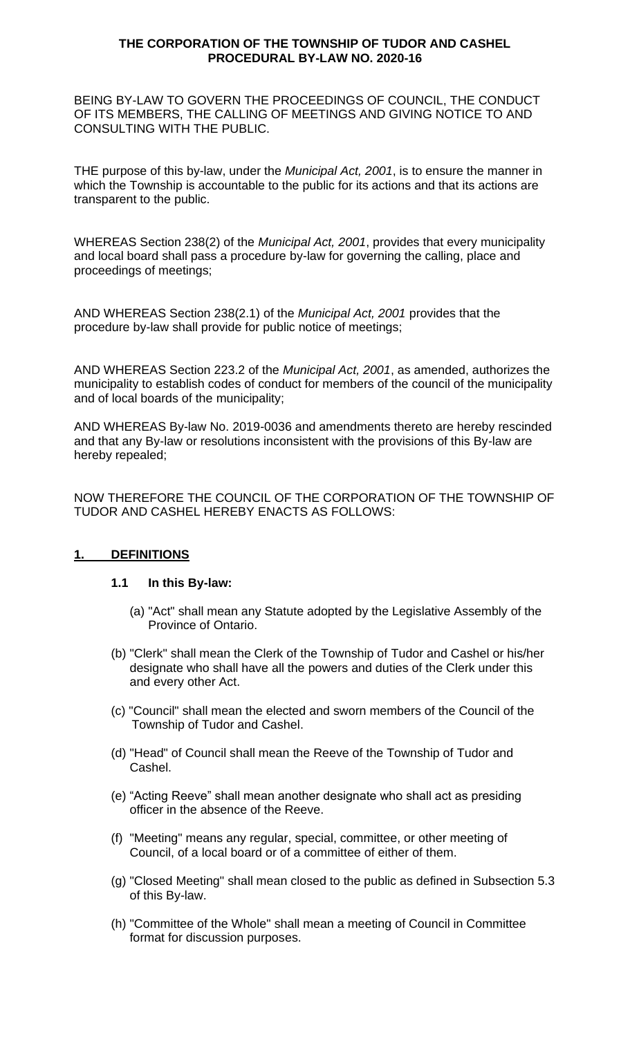### **THE CORPORATION OF THE TOWNSHIP OF TUDOR AND CASHEL PROCEDURAL BY-LAW NO. 2020-16**

BEING BY-LAW TO GOVERN THE PROCEEDINGS OF COUNCIL, THE CONDUCT OF ITS MEMBERS, THE CALLING OF MEETINGS AND GIVING NOTICE TO AND CONSULTING WITH THE PUBLIC.

THE purpose of this by-law, under the *Municipal Act, 2001*, is to ensure the manner in which the Township is accountable to the public for its actions and that its actions are transparent to the public.

WHEREAS Section 238(2) of the *Municipal Act, 2001*, provides that every municipality and local board shall pass a procedure by-law for governing the calling, place and proceedings of meetings;

AND WHEREAS Section 238(2.1) of the *Municipal Act, 2001* provides that the procedure by-law shall provide for public notice of meetings;

AND WHEREAS Section 223.2 of the *Municipal Act, 2001*, as amended, authorizes the municipality to establish codes of conduct for members of the council of the municipality and of local boards of the municipality;

AND WHEREAS By-law No. 2019-0036 and amendments thereto are hereby rescinded and that any By-law or resolutions inconsistent with the provisions of this By-law are hereby repealed;

NOW THEREFORE THE COUNCIL OF THE CORPORATION OF THE TOWNSHIP OF TUDOR AND CASHEL HEREBY ENACTS AS FOLLOWS:

## **1. DEFINITIONS**

#### **1.1 In this By-law:**

- (a) "Act" shall mean any Statute adopted by the Legislative Assembly of the Province of Ontario.
- (b) "Clerk" shall mean the Clerk of the Township of Tudor and Cashel or his/her designate who shall have all the powers and duties of the Clerk under this and every other Act.
- (c) "Council" shall mean the elected and sworn members of the Council of the Township of Tudor and Cashel.
- (d) "Head" of Council shall mean the Reeve of the Township of Tudor and Cashel.
- (e) "Acting Reeve" shall mean another designate who shall act as presiding officer in the absence of the Reeve.
- (f) "Meeting" means any regular, special, committee, or other meeting of Council, of a local board or of a committee of either of them.
- (g) "Closed Meeting" shall mean closed to the public as defined in Subsection 5.3 of this By-law.
- (h) "Committee of the Whole" shall mean a meeting of Council in Committee format for discussion purposes.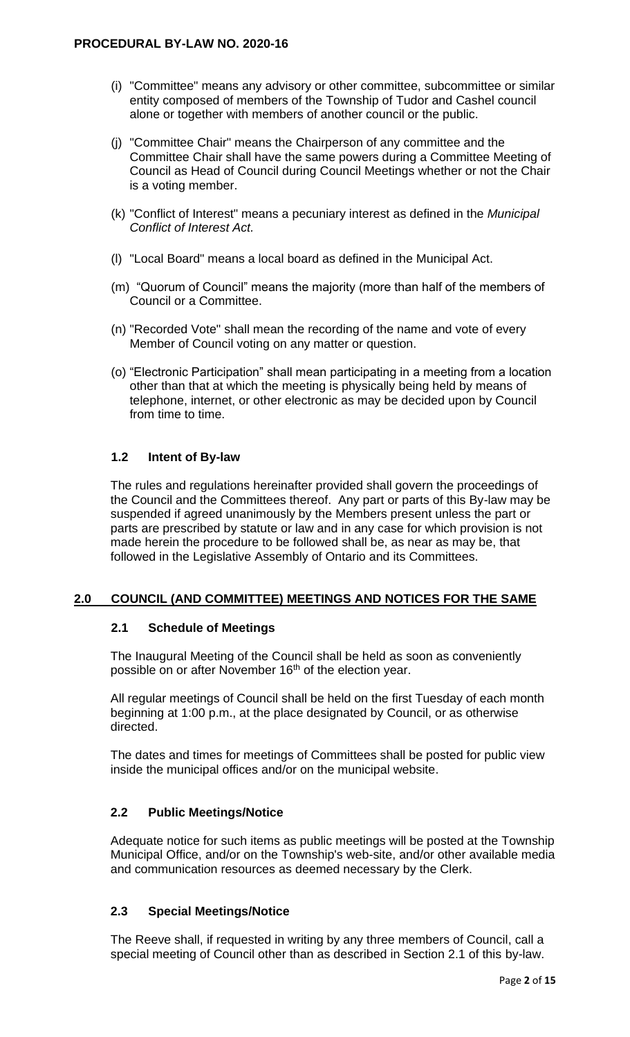- (i) "Committee" means any advisory or other committee, subcommittee or similar entity composed of members of the Township of Tudor and Cashel council alone or together with members of another council or the public.
- (j) "Committee Chair" means the Chairperson of any committee and the Committee Chair shall have the same powers during a Committee Meeting of Council as Head of Council during Council Meetings whether or not the Chair is a voting member.
- (k) "Conflict of Interest" means a pecuniary interest as defined in the *Municipal Conflict of Interest Act.*
- (l) "Local Board" means a local board as defined in the Municipal Act.
- (m) "Quorum of Council" means the majority (more than half of the members of Council or a Committee.
- (n) "Recorded Vote" shall mean the recording of the name and vote of every Member of Council voting on any matter or question.
- (o) "Electronic Participation" shall mean participating in a meeting from a location other than that at which the meeting is physically being held by means of telephone, internet, or other electronic as may be decided upon by Council from time to time.

### **1.2 Intent of By-law**

The rules and regulations hereinafter provided shall govern the proceedings of the Council and the Committees thereof. Any part or parts of this By-law may be suspended if agreed unanimously by the Members present unless the part or parts are prescribed by statute or law and in any case for which provision is not made herein the procedure to be followed shall be, as near as may be, that followed in the Legislative Assembly of Ontario and its Committees.

## **2.0 COUNCIL (AND COMMITTEE) MEETINGS AND NOTICES FOR THE SAME**

#### **2.1 Schedule of Meetings**

The Inaugural Meeting of the Council shall be held as soon as conveniently possible on or after November 16<sup>th</sup> of the election year.

All regular meetings of Council shall be held on the first Tuesday of each month beginning at 1:00 p.m., at the place designated by Council, or as otherwise directed.

The dates and times for meetings of Committees shall be posted for public view inside the municipal offices and/or on the municipal website.

## **2.2 Public Meetings/Notice**

Adequate notice for such items as public meetings will be posted at the Township Municipal Office, and/or on the Township's web-site, and/or other available media and communication resources as deemed necessary by the Clerk.

#### **2.3 Special Meetings/Notice**

The Reeve shall, if requested in writing by any three members of Council, call a special meeting of Council other than as described in Section 2.1 of this by-law.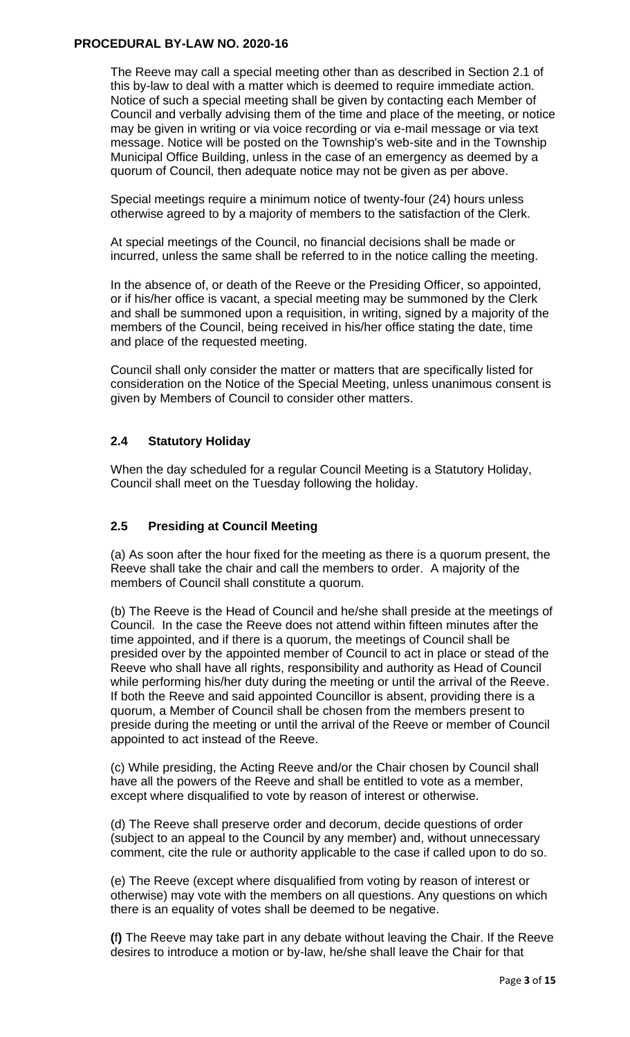The Reeve may call a special meeting other than as described in Section 2.1 of this by-law to deal with a matter which is deemed to require immediate action. Notice of such a special meeting shall be given by contacting each Member of Council and verbally advising them of the time and place of the meeting, or notice may be given in writing or via voice recording or via e-mail message or via text message. Notice will be posted on the Township's web-site and in the Township Municipal Office Building, unless in the case of an emergency as deemed by a quorum of Council, then adequate notice may not be given as per above.

Special meetings require a minimum notice of twenty-four (24) hours unless otherwise agreed to by a majority of members to the satisfaction of the Clerk.

At special meetings of the Council, no financial decisions shall be made or incurred, unless the same shall be referred to in the notice calling the meeting.

In the absence of, or death of the Reeve or the Presiding Officer, so appointed, or if his/her office is vacant, a special meeting may be summoned by the Clerk and shall be summoned upon a requisition, in writing, signed by a majority of the members of the Council, being received in his/her office stating the date, time and place of the requested meeting.

Council shall only consider the matter or matters that are specifically listed for consideration on the Notice of the Special Meeting, unless unanimous consent is given by Members of Council to consider other matters.

# **2.4 Statutory Holiday**

When the day scheduled for a regular Council Meeting is a Statutory Holiday, Council shall meet on the Tuesday following the holiday.

## **2.5 Presiding at Council Meeting**

(a) As soon after the hour fixed for the meeting as there is a quorum present, the Reeve shall take the chair and call the members to order. A majority of the members of Council shall constitute a quorum.

(b) The Reeve is the Head of Council and he/she shall preside at the meetings of Council. In the case the Reeve does not attend within fifteen minutes after the time appointed, and if there is a quorum, the meetings of Council shall be presided over by the appointed member of Council to act in place or stead of the Reeve who shall have all rights, responsibility and authority as Head of Council while performing his/her duty during the meeting or until the arrival of the Reeve. If both the Reeve and said appointed Councillor is absent, providing there is a quorum, a Member of Council shall be chosen from the members present to preside during the meeting or until the arrival of the Reeve or member of Council appointed to act instead of the Reeve.

(c) While presiding, the Acting Reeve and/or the Chair chosen by Council shall have all the powers of the Reeve and shall be entitled to vote as a member, except where disqualified to vote by reason of interest or otherwise.

(d) The Reeve shall preserve order and decorum, decide questions of order (subject to an appeal to the Council by any member) and, without unnecessary comment, cite the rule or authority applicable to the case if called upon to do so.

(e) The Reeve (except where disqualified from voting by reason of interest or otherwise) may vote with the members on all questions. Any questions on which there is an equality of votes shall be deemed to be negative.

**(**f**)** The Reeve may take part in any debate without leaving the Chair. If the Reeve desires to introduce a motion or by-law, he/she shall leave the Chair for that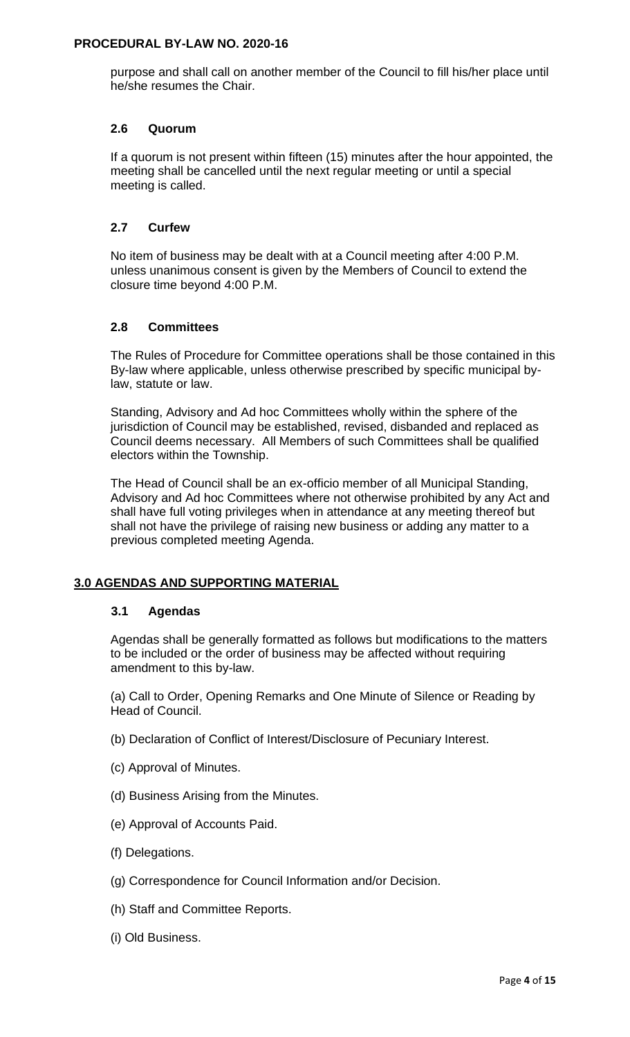purpose and shall call on another member of the Council to fill his/her place until he/she resumes the Chair.

### **2.6 Quorum**

If a quorum is not present within fifteen (15) minutes after the hour appointed, the meeting shall be cancelled until the next regular meeting or until a special meeting is called.

## **2.7 Curfew**

No item of business may be dealt with at a Council meeting after 4:00 P.M. unless unanimous consent is given by the Members of Council to extend the closure time beyond 4:00 P.M.

## **2.8 Committees**

The Rules of Procedure for Committee operations shall be those contained in this By-law where applicable, unless otherwise prescribed by specific municipal bylaw, statute or law.

Standing, Advisory and Ad hoc Committees wholly within the sphere of the jurisdiction of Council may be established, revised, disbanded and replaced as Council deems necessary. All Members of such Committees shall be qualified electors within the Township.

The Head of Council shall be an ex-officio member of all Municipal Standing, Advisory and Ad hoc Committees where not otherwise prohibited by any Act and shall have full voting privileges when in attendance at any meeting thereof but shall not have the privilege of raising new business or adding any matter to a previous completed meeting Agenda.

## **3.0 AGENDAS AND SUPPORTING MATERIAL**

## **3.1 Agendas**

Agendas shall be generally formatted as follows but modifications to the matters to be included or the order of business may be affected without requiring amendment to this by-law.

(a) Call to Order, Opening Remarks and One Minute of Silence or Reading by Head of Council.

- (b) Declaration of Conflict of Interest/Disclosure of Pecuniary Interest.
- (c) Approval of Minutes.
- (d) Business Arising from the Minutes.
- (e) Approval of Accounts Paid.
- (f) Delegations.
- (g) Correspondence for Council Information and/or Decision.
- (h) Staff and Committee Reports.
- (i) Old Business.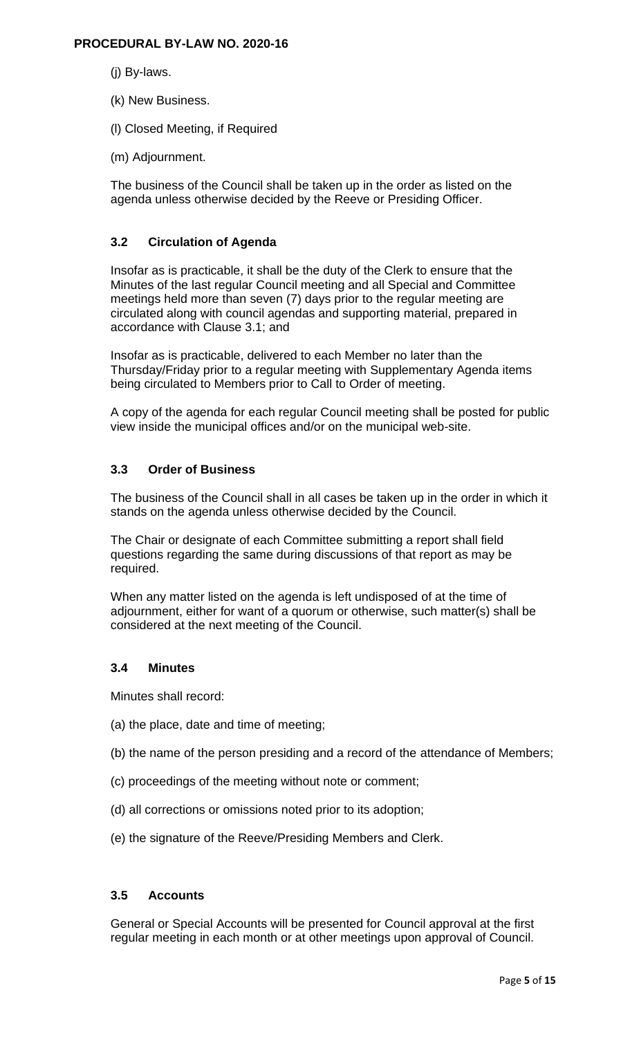- (j) By-laws.
- (k) New Business.
- (l) Closed Meeting, if Required
- (m) Adjournment.

The business of the Council shall be taken up in the order as listed on the agenda unless otherwise decided by the Reeve or Presiding Officer.

### **3.2 Circulation of Agenda**

Insofar as is practicable, it shall be the duty of the Clerk to ensure that the Minutes of the last regular Council meeting and all Special and Committee meetings held more than seven (7) days prior to the regular meeting are circulated along with council agendas and supporting material, prepared in accordance with Clause 3.1; and

Insofar as is practicable, delivered to each Member no later than the Thursday/Friday prior to a regular meeting with Supplementary Agenda items being circulated to Members prior to Call to Order of meeting.

A copy of the agenda for each regular Council meeting shall be posted for public view inside the municipal offices and/or on the municipal web-site.

## **3.3 Order of Business**

The business of the Council shall in all cases be taken up in the order in which it stands on the agenda unless otherwise decided by the Council.

The Chair or designate of each Committee submitting a report shall field questions regarding the same during discussions of that report as may be required.

When any matter listed on the agenda is left undisposed of at the time of adjournment, either for want of a quorum or otherwise, such matter(s) shall be considered at the next meeting of the Council.

#### **3.4 Minutes**

Minutes shall record:

- (a) the place, date and time of meeting;
- (b) the name of the person presiding and a record of the attendance of Members;
- (c) proceedings of the meeting without note or comment;
- (d) all corrections or omissions noted prior to its adoption;
- (e) the signature of the Reeve/Presiding Members and Clerk.

#### **3.5 Accounts**

General or Special Accounts will be presented for Council approval at the first regular meeting in each month or at other meetings upon approval of Council.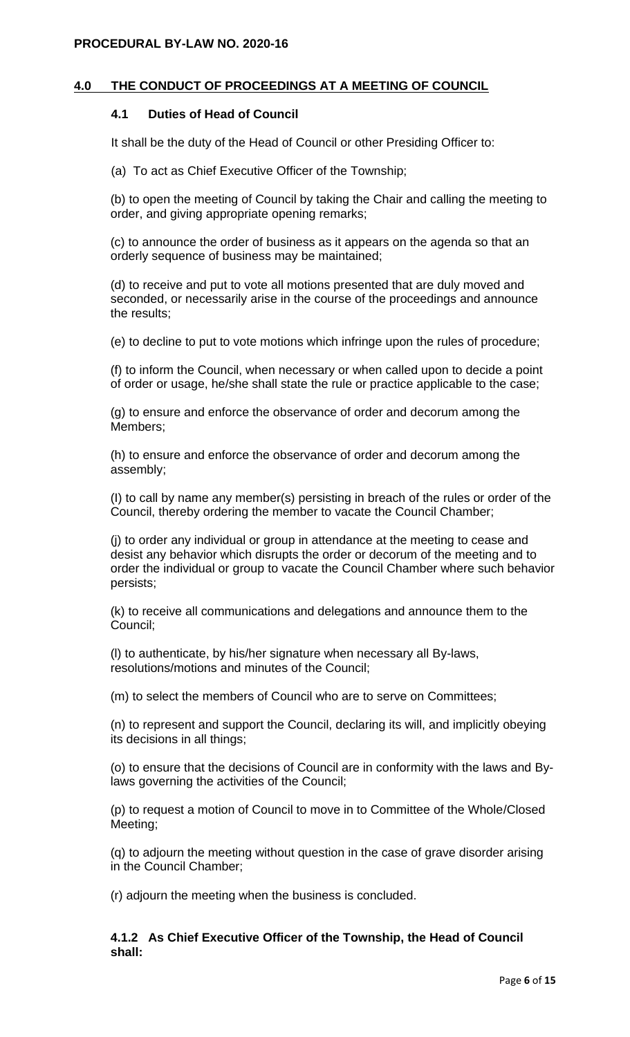### **4.0 THE CONDUCT OF PROCEEDINGS AT A MEETING OF COUNCIL**

#### **4.1 Duties of Head of Council**

It shall be the duty of the Head of Council or other Presiding Officer to:

(a) To act as Chief Executive Officer of the Township;

(b) to open the meeting of Council by taking the Chair and calling the meeting to order, and giving appropriate opening remarks;

(c) to announce the order of business as it appears on the agenda so that an orderly sequence of business may be maintained;

(d) to receive and put to vote all motions presented that are duly moved and seconded, or necessarily arise in the course of the proceedings and announce the results;

(e) to decline to put to vote motions which infringe upon the rules of procedure;

(f) to inform the Council, when necessary or when called upon to decide a point of order or usage, he/she shall state the rule or practice applicable to the case;

(g) to ensure and enforce the observance of order and decorum among the Members;

(h) to ensure and enforce the observance of order and decorum among the assembly;

(I) to call by name any member(s) persisting in breach of the rules or order of the Council, thereby ordering the member to vacate the Council Chamber;

(j) to order any individual or group in attendance at the meeting to cease and desist any behavior which disrupts the order or decorum of the meeting and to order the individual or group to vacate the Council Chamber where such behavior persists;

(k) to receive all communications and delegations and announce them to the Council;

(l) to authenticate, by his/her signature when necessary all By-laws, resolutions/motions and minutes of the Council;

(m) to select the members of Council who are to serve on Committees;

(n) to represent and support the Council, declaring its will, and implicitly obeying its decisions in all things;

(o) to ensure that the decisions of Council are in conformity with the laws and Bylaws governing the activities of the Council;

(p) to request a motion of Council to move in to Committee of the Whole/Closed Meeting;

(q) to adjourn the meeting without question in the case of grave disorder arising in the Council Chamber;

(r) adjourn the meeting when the business is concluded.

#### **4.1.2 As Chief Executive Officer of the Township, the Head of Council shall:**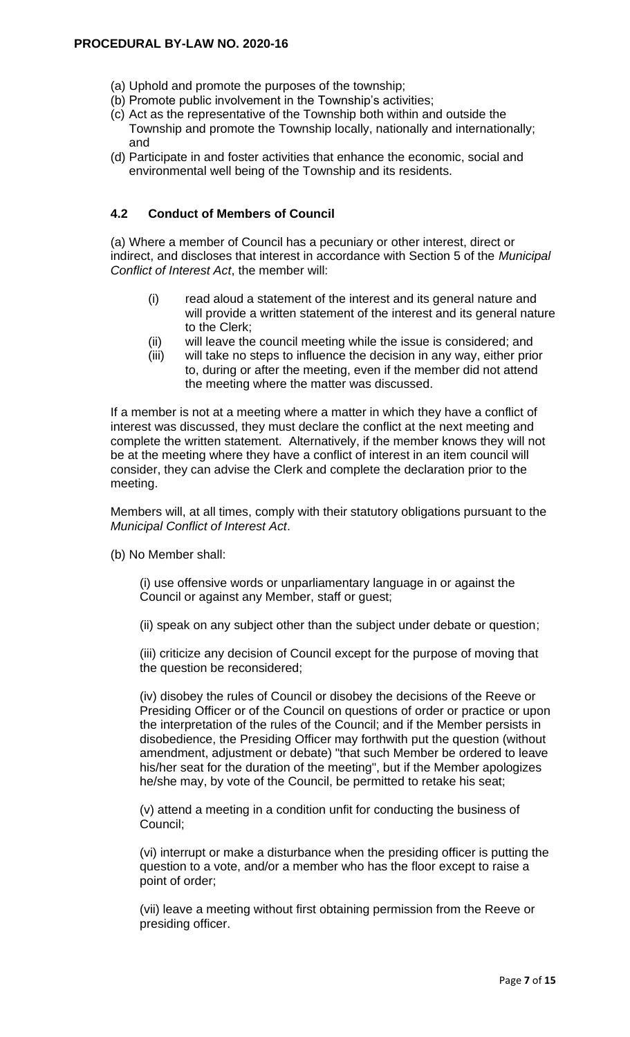- (a) Uphold and promote the purposes of the township;
- (b) Promote public involvement in the Township's activities;
- (c) Act as the representative of the Township both within and outside the Township and promote the Township locally, nationally and internationally; and
- (d) Participate in and foster activities that enhance the economic, social and environmental well being of the Township and its residents.

# **4.2 Conduct of Members of Council**

(a) Where a member of Council has a pecuniary or other interest, direct or indirect, and discloses that interest in accordance with Section 5 of the *Municipal Conflict of Interest Act*, the member will:

- (i) read aloud a statement of the interest and its general nature and will provide a written statement of the interest and its general nature to the Clerk;
- (ii) will leave the council meeting while the issue is considered; and
- (iii) will take no steps to influence the decision in any way, either prior to, during or after the meeting, even if the member did not attend the meeting where the matter was discussed.

If a member is not at a meeting where a matter in which they have a conflict of interest was discussed, they must declare the conflict at the next meeting and complete the written statement. Alternatively, if the member knows they will not be at the meeting where they have a conflict of interest in an item council will consider, they can advise the Clerk and complete the declaration prior to the meeting.

Members will, at all times, comply with their statutory obligations pursuant to the *Municipal Conflict of Interest Act*.

(b) No Member shall:

(i) use offensive words or unparliamentary language in or against the Council or against any Member, staff or guest;

(ii) speak on any subject other than the subject under debate or question;

(iii) criticize any decision of Council except for the purpose of moving that the question be reconsidered;

(iv) disobey the rules of Council or disobey the decisions of the Reeve or Presiding Officer or of the Council on questions of order or practice or upon the interpretation of the rules of the Council; and if the Member persists in disobedience, the Presiding Officer may forthwith put the question (without amendment, adjustment or debate) "that such Member be ordered to leave his/her seat for the duration of the meeting", but if the Member apologizes he/she may, by vote of the Council, be permitted to retake his seat;

(v) attend a meeting in a condition unfit for conducting the business of Council;

(vi) interrupt or make a disturbance when the presiding officer is putting the question to a vote, and/or a member who has the floor except to raise a point of order;

(vii) leave a meeting without first obtaining permission from the Reeve or presiding officer.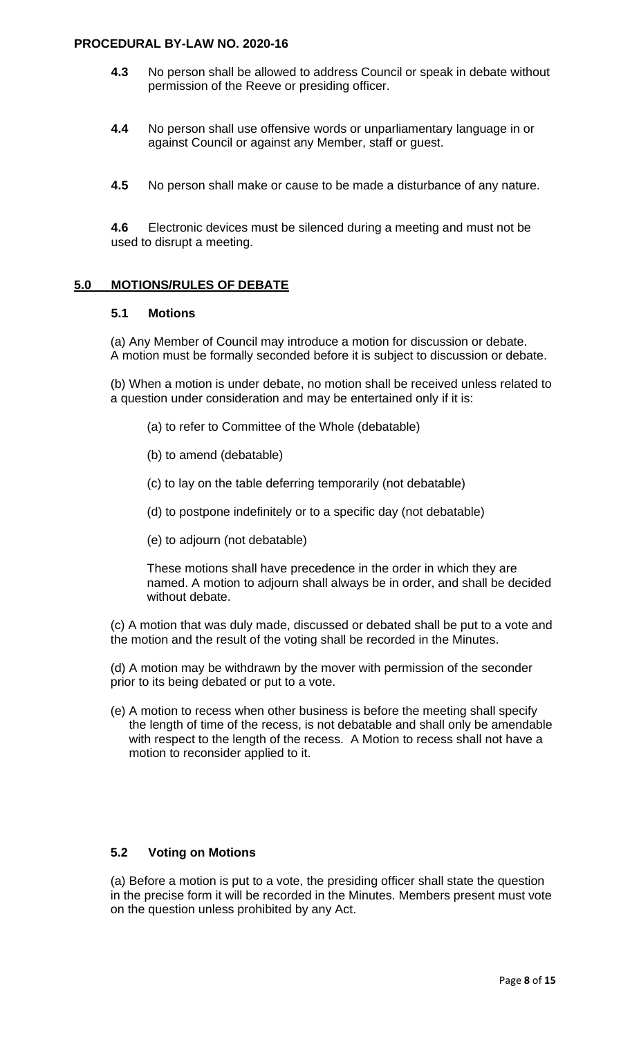- **4.3** No person shall be allowed to address Council or speak in debate without permission of the Reeve or presiding officer.
- **4.4** No person shall use offensive words or unparliamentary language in or against Council or against any Member, staff or guest.
- **4.5** No person shall make or cause to be made a disturbance of any nature.

**4.6** Electronic devices must be silenced during a meeting and must not be used to disrupt a meeting.

### **5.0 MOTIONS/RULES OF DEBATE**

### **5.1 Motions**

(a) Any Member of Council may introduce a motion for discussion or debate. A motion must be formally seconded before it is subject to discussion or debate.

(b) When a motion is under debate, no motion shall be received unless related to a question under consideration and may be entertained only if it is:

- (a) to refer to Committee of the Whole (debatable)
- (b) to amend (debatable)
- (c) to lay on the table deferring temporarily (not debatable)
- (d) to postpone indefinitely or to a specific day (not debatable)
- (e) to adjourn (not debatable)

These motions shall have precedence in the order in which they are named. A motion to adjourn shall always be in order, and shall be decided without debate.

(c) A motion that was duly made, discussed or debated shall be put to a vote and the motion and the result of the voting shall be recorded in the Minutes.

(d) A motion may be withdrawn by the mover with permission of the seconder prior to its being debated or put to a vote.

(e) A motion to recess when other business is before the meeting shall specify the length of time of the recess, is not debatable and shall only be amendable with respect to the length of the recess. A Motion to recess shall not have a motion to reconsider applied to it.

## **5.2 Voting on Motions**

(a) Before a motion is put to a vote, the presiding officer shall state the question in the precise form it will be recorded in the Minutes. Members present must vote on the question unless prohibited by any Act.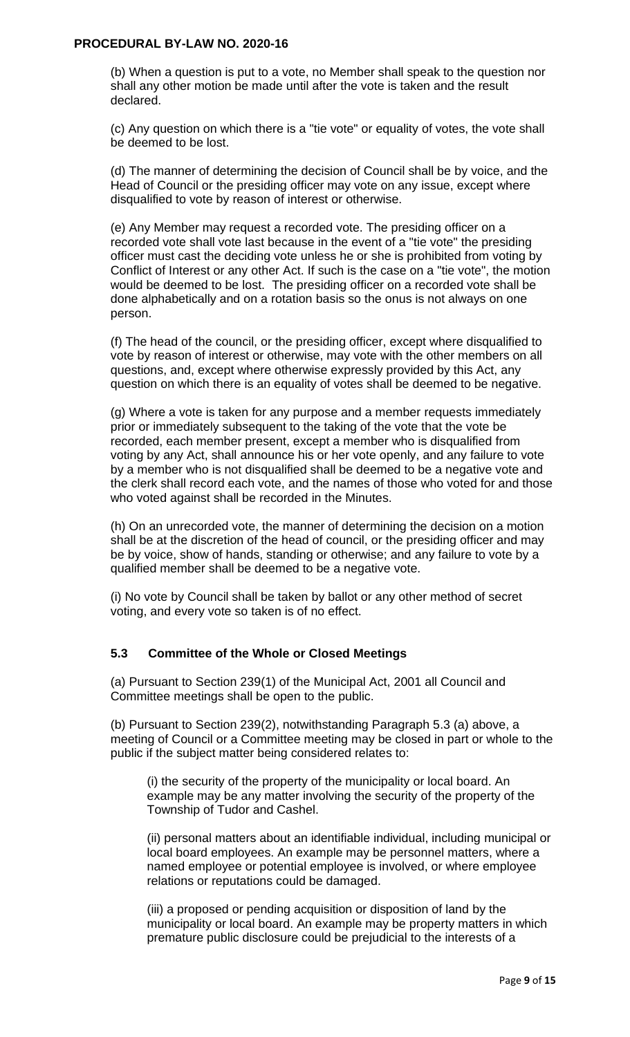(b) When a question is put to a vote, no Member shall speak to the question nor shall any other motion be made until after the vote is taken and the result declared.

(c) Any question on which there is a "tie vote" or equality of votes, the vote shall be deemed to be lost.

(d) The manner of determining the decision of Council shall be by voice, and the Head of Council or the presiding officer may vote on any issue, except where disqualified to vote by reason of interest or otherwise.

(e) Any Member may request a recorded vote. The presiding officer on a recorded vote shall vote last because in the event of a "tie vote" the presiding officer must cast the deciding vote unless he or she is prohibited from voting by Conflict of Interest or any other Act. If such is the case on a "tie vote", the motion would be deemed to be lost. The presiding officer on a recorded vote shall be done alphabetically and on a rotation basis so the onus is not always on one person.

(f) The head of the council, or the presiding officer, except where disqualified to vote by reason of interest or otherwise, may vote with the other members on all questions, and, except where otherwise expressly provided by this Act, any question on which there is an equality of votes shall be deemed to be negative.

(g) Where a vote is taken for any purpose and a member requests immediately prior or immediately subsequent to the taking of the vote that the vote be recorded, each member present, except a member who is disqualified from voting by any Act, shall announce his or her vote openly, and any failure to vote by a member who is not disqualified shall be deemed to be a negative vote and the clerk shall record each vote, and the names of those who voted for and those who voted against shall be recorded in the Minutes.

(h) On an unrecorded vote, the manner of determining the decision on a motion shall be at the discretion of the head of council, or the presiding officer and may be by voice, show of hands, standing or otherwise; and any failure to vote by a qualified member shall be deemed to be a negative vote.

(i) No vote by Council shall be taken by ballot or any other method of secret voting, and every vote so taken is of no effect.

## **5.3 Committee of the Whole or Closed Meetings**

(a) Pursuant to Section 239(1) of the Municipal Act, 2001 all Council and Committee meetings shall be open to the public.

(b) Pursuant to Section 239(2), notwithstanding Paragraph 5.3 (a) above, a meeting of Council or a Committee meeting may be closed in part or whole to the public if the subject matter being considered relates to:

(i) the security of the property of the municipality or local board. An example may be any matter involving the security of the property of the Township of Tudor and Cashel.

(ii) personal matters about an identifiable individual, including municipal or local board employees. An example may be personnel matters, where a named employee or potential employee is involved, or where employee relations or reputations could be damaged.

(iii) a proposed or pending acquisition or disposition of land by the municipality or local board. An example may be property matters in which premature public disclosure could be prejudicial to the interests of a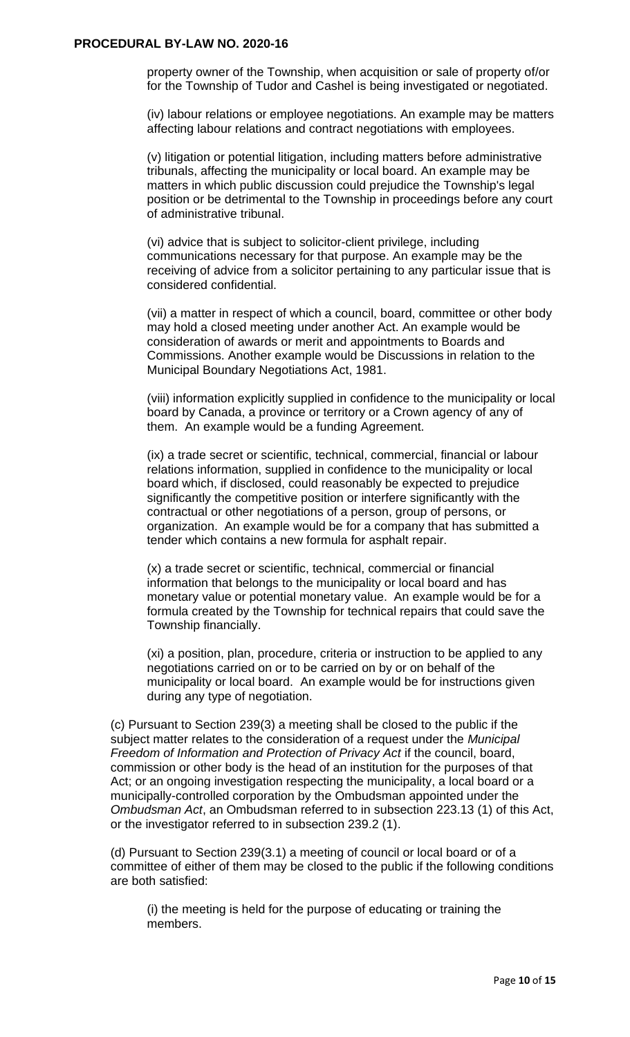property owner of the Township, when acquisition or sale of property of/or for the Township of Tudor and Cashel is being investigated or negotiated.

(iv) labour relations or employee negotiations. An example may be matters affecting labour relations and contract negotiations with employees.

(v) litigation or potential litigation, including matters before administrative tribunals, affecting the municipality or local board. An example may be matters in which public discussion could prejudice the Township's legal position or be detrimental to the Township in proceedings before any court of administrative tribunal.

(vi) advice that is subject to solicitor-client privilege, including communications necessary for that purpose. An example may be the receiving of advice from a solicitor pertaining to any particular issue that is considered confidential.

(vii) a matter in respect of which a council, board, committee or other body may hold a closed meeting under another Act. An example would be consideration of awards or merit and appointments to Boards and Commissions. Another example would be Discussions in relation to the Municipal Boundary Negotiations Act, 1981.

(viii) information explicitly supplied in confidence to the municipality or local board by Canada, a province or territory or a Crown agency of any of them. An example would be a funding Agreement.

(ix) a trade secret or scientific, technical, commercial, financial or labour relations information, supplied in confidence to the municipality or local board which, if disclosed, could reasonably be expected to prejudice significantly the competitive position or interfere significantly with the contractual or other negotiations of a person, group of persons, or organization. An example would be for a company that has submitted a tender which contains a new formula for asphalt repair.

(x) a trade secret or scientific, technical, commercial or financial information that belongs to the municipality or local board and has monetary value or potential monetary value. An example would be for a formula created by the Township for technical repairs that could save the Township financially.

(xi) a position, plan, procedure, criteria or instruction to be applied to any negotiations carried on or to be carried on by or on behalf of the municipality or local board. An example would be for instructions given during any type of negotiation.

(c) Pursuant to Section 239(3) a meeting shall be closed to the public if the subject matter relates to the consideration of a request under the *Municipal Freedom of Information and Protection of Privacy Act* if the council, board, commission or other body is the head of an institution for the purposes of that Act; or an ongoing investigation respecting the municipality, a local board or a municipally-controlled corporation by the Ombudsman appointed under the *Ombudsman Act*, an Ombudsman referred to in subsection 223.13 (1) of this Act, or the investigator referred to in subsection 239.2 (1).

(d) Pursuant to Section 239(3.1) a meeting of council or local board or of a committee of either of them may be closed to the public if the following conditions are both satisfied:

(i) the meeting is held for the purpose of educating or training the members.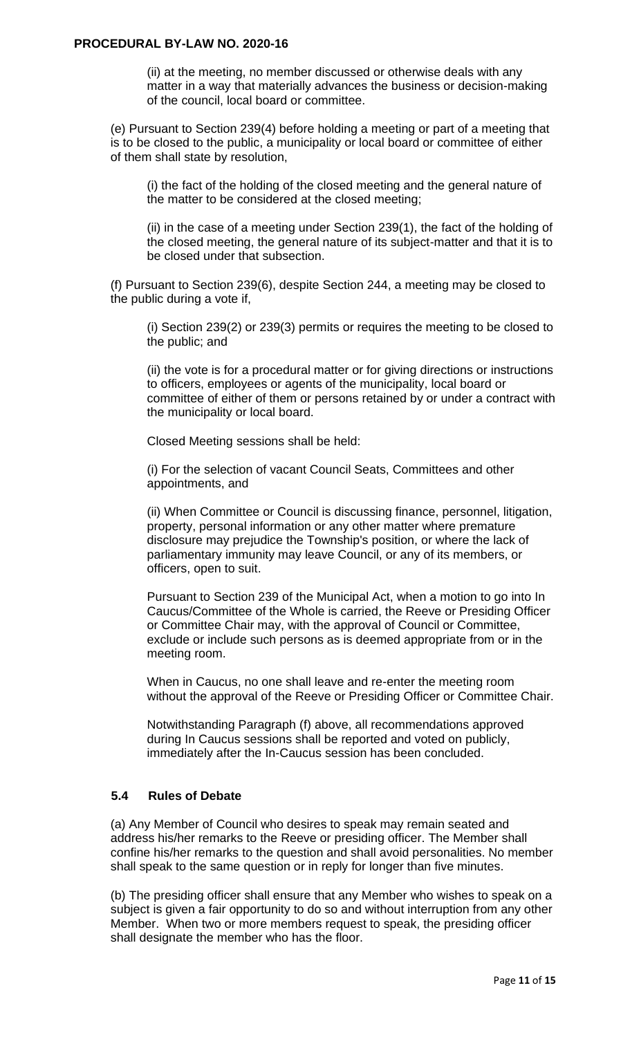(ii) at the meeting, no member discussed or otherwise deals with any matter in a way that materially advances the business or decision-making of the council, local board or committee.

(e) Pursuant to Section 239(4) before holding a meeting or part of a meeting that is to be closed to the public, a municipality or local board or committee of either of them shall state by resolution,

(i) the fact of the holding of the closed meeting and the general nature of the matter to be considered at the closed meeting;

(ii) in the case of a meeting under Section 239(1), the fact of the holding of the closed meeting, the general nature of its subject-matter and that it is to be closed under that subsection.

(f) Pursuant to Section 239(6), despite Section 244, a meeting may be closed to the public during a vote if,

(i) Section 239(2) or 239(3) permits or requires the meeting to be closed to the public; and

(ii) the vote is for a procedural matter or for giving directions or instructions to officers, employees or agents of the municipality, local board or committee of either of them or persons retained by or under a contract with the municipality or local board.

Closed Meeting sessions shall be held:

(i) For the selection of vacant Council Seats, Committees and other appointments, and

(ii) When Committee or Council is discussing finance, personnel, litigation, property, personal information or any other matter where premature disclosure may prejudice the Township's position, or where the lack of parliamentary immunity may leave Council, or any of its members, or officers, open to suit.

Pursuant to Section 239 of the Municipal Act, when a motion to go into In Caucus/Committee of the Whole is carried, the Reeve or Presiding Officer or Committee Chair may, with the approval of Council or Committee, exclude or include such persons as is deemed appropriate from or in the meeting room.

When in Caucus, no one shall leave and re-enter the meeting room without the approval of the Reeve or Presiding Officer or Committee Chair.

Notwithstanding Paragraph (f) above, all recommendations approved during In Caucus sessions shall be reported and voted on publicly, immediately after the In-Caucus session has been concluded.

### **5.4 Rules of Debate**

(a) Any Member of Council who desires to speak may remain seated and address his/her remarks to the Reeve or presiding officer. The Member shall confine his/her remarks to the question and shall avoid personalities. No member shall speak to the same question or in reply for longer than five minutes.

(b) The presiding officer shall ensure that any Member who wishes to speak on a subject is given a fair opportunity to do so and without interruption from any other Member. When two or more members request to speak, the presiding officer shall designate the member who has the floor.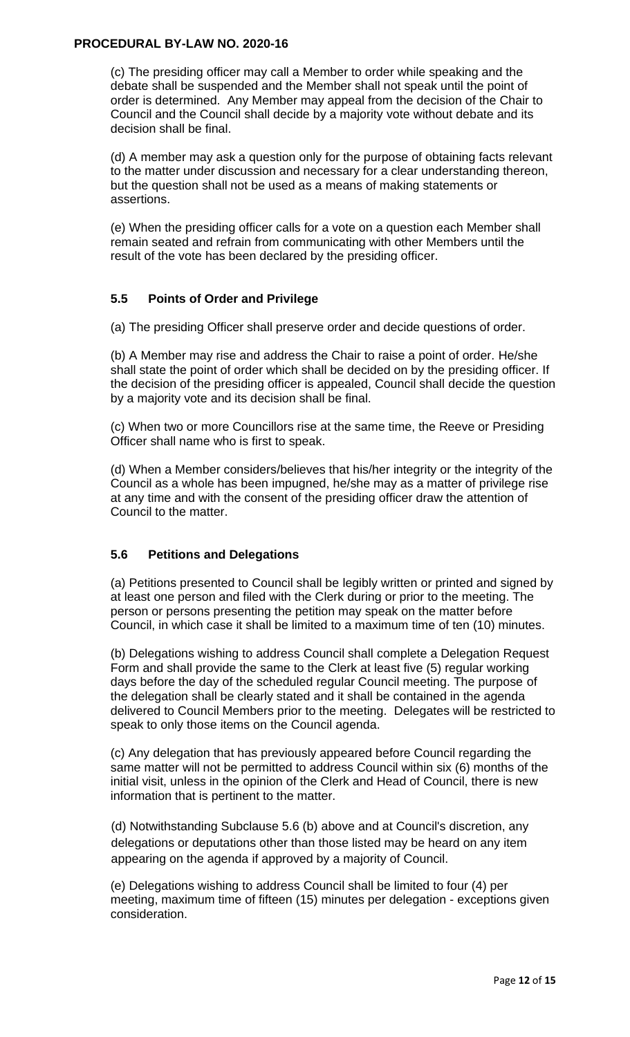(c) The presiding officer may call a Member to order while speaking and the debate shall be suspended and the Member shall not speak until the point of order is determined. Any Member may appeal from the decision of the Chair to Council and the Council shall decide by a majority vote without debate and its decision shall be final.

(d) A member may ask a question only for the purpose of obtaining facts relevant to the matter under discussion and necessary for a clear understanding thereon, but the question shall not be used as a means of making statements or assertions.

(e) When the presiding officer calls for a vote on a question each Member shall remain seated and refrain from communicating with other Members until the result of the vote has been declared by the presiding officer.

### **5.5 Points of Order and Privilege**

(a) The presiding Officer shall preserve order and decide questions of order.

(b) A Member may rise and address the Chair to raise a point of order. He/she shall state the point of order which shall be decided on by the presiding officer. If the decision of the presiding officer is appealed, Council shall decide the question by a majority vote and its decision shall be final.

(c) When two or more Councillors rise at the same time, the Reeve or Presiding Officer shall name who is first to speak.

(d) When a Member considers/believes that his/her integrity or the integrity of the Council as a whole has been impugned, he/she may as a matter of privilege rise at any time and with the consent of the presiding officer draw the attention of Council to the matter.

## **5.6 Petitions and Delegations**

(a) Petitions presented to Council shall be legibly written or printed and signed by at least one person and filed with the Clerk during or prior to the meeting. The person or persons presenting the petition may speak on the matter before Council, in which case it shall be limited to a maximum time of ten (10) minutes.

(b) Delegations wishing to address Council shall complete a Delegation Request Form and shall provide the same to the Clerk at least five (5) regular working days before the day of the scheduled regular Council meeting. The purpose of the delegation shall be clearly stated and it shall be contained in the agenda delivered to Council Members prior to the meeting. Delegates will be restricted to speak to only those items on the Council agenda.

(c) Any delegation that has previously appeared before Council regarding the same matter will not be permitted to address Council within six (6) months of the initial visit, unless in the opinion of the Clerk and Head of Council, there is new information that is pertinent to the matter.

(d) Notwithstanding Subclause 5.6 (b) above and at Council's discretion, any delegations or deputations other than those listed may be heard on any item appearing on the agenda if approved by a majority of Council.

(e) Delegations wishing to address Council shall be limited to four (4) per meeting, maximum time of fifteen (15) minutes per delegation - exceptions given consideration.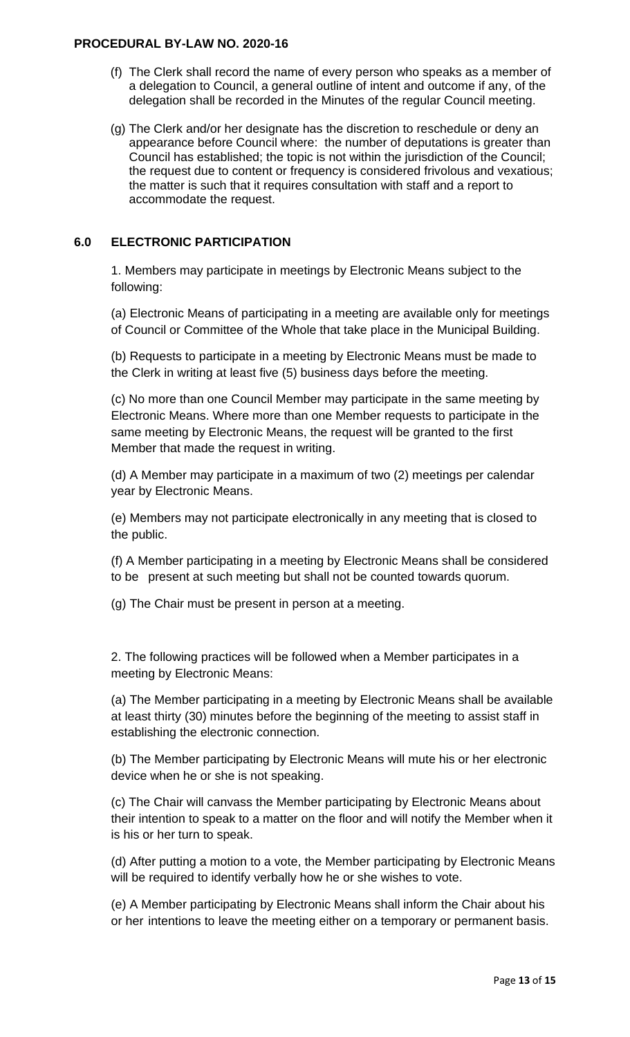- (f) The Clerk shall record the name of every person who speaks as a member of a delegation to Council, a general outline of intent and outcome if any, of the delegation shall be recorded in the Minutes of the regular Council meeting.
- (g) The Clerk and/or her designate has the discretion to reschedule or deny an appearance before Council where: the number of deputations is greater than Council has established; the topic is not within the jurisdiction of the Council; the request due to content or frequency is considered frivolous and vexatious; the matter is such that it requires consultation with staff and a report to accommodate the request.

# **6.0 ELECTRONIC PARTICIPATION**

1. Members may participate in meetings by Electronic Means subject to the following:

(a) Electronic Means of participating in a meeting are available only for meetings of Council or Committee of the Whole that take place in the Municipal Building.

(b) Requests to participate in a meeting by Electronic Means must be made to the Clerk in writing at least five (5) business days before the meeting.

(c) No more than one Council Member may participate in the same meeting by Electronic Means. Where more than one Member requests to participate in the same meeting by Electronic Means, the request will be granted to the first Member that made the request in writing.

(d) A Member may participate in a maximum of two (2) meetings per calendar year by Electronic Means.

(e) Members may not participate electronically in any meeting that is closed to the public.

(f) A Member participating in a meeting by Electronic Means shall be considered to be present at such meeting but shall not be counted towards quorum.

(g) The Chair must be present in person at a meeting.

2. The following practices will be followed when a Member participates in a meeting by Electronic Means:

(a) The Member participating in a meeting by Electronic Means shall be available at least thirty (30) minutes before the beginning of the meeting to assist staff in establishing the electronic connection.

(b) The Member participating by Electronic Means will mute his or her electronic device when he or she is not speaking.

(c) The Chair will canvass the Member participating by Electronic Means about their intention to speak to a matter on the floor and will notify the Member when it is his or her turn to speak.

(d) After putting a motion to a vote, the Member participating by Electronic Means will be required to identify verbally how he or she wishes to vote.

(e) A Member participating by Electronic Means shall inform the Chair about his or her intentions to leave the meeting either on a temporary or permanent basis.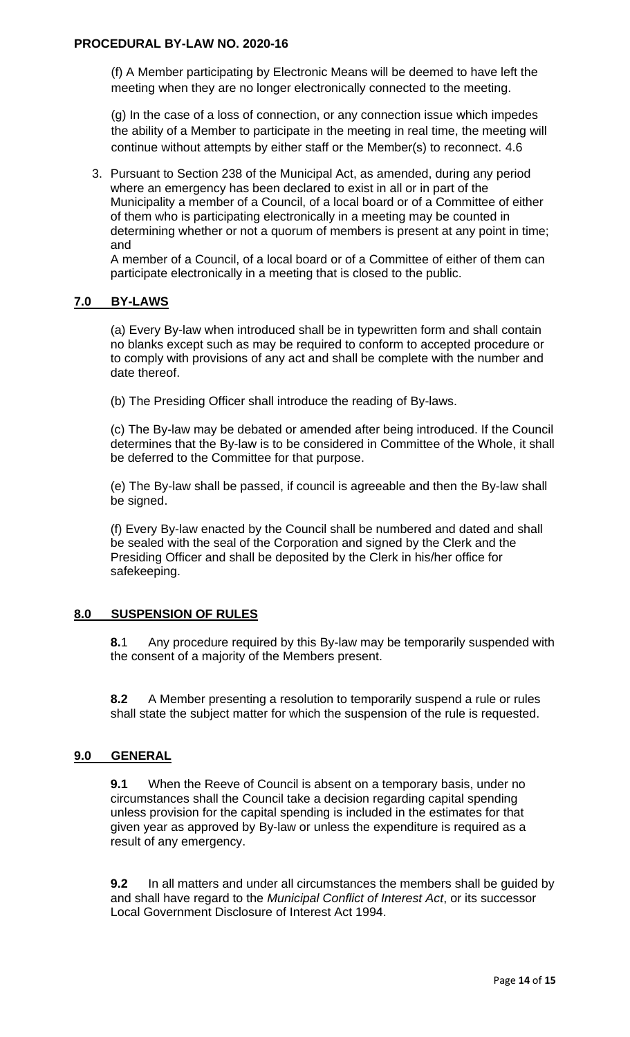(f) A Member participating by Electronic Means will be deemed to have left the meeting when they are no longer electronically connected to the meeting.

(g) In the case of a loss of connection, or any connection issue which impedes the ability of a Member to participate in the meeting in real time, the meeting will continue without attempts by either staff or the Member(s) to reconnect. 4.6

3. Pursuant to Section 238 of the Municipal Act, as amended, during any period where an emergency has been declared to exist in all or in part of the Municipality a member of a Council, of a local board or of a Committee of either of them who is participating electronically in a meeting may be counted in determining whether or not a quorum of members is present at any point in time; and

A member of a Council, of a local board or of a Committee of either of them can participate electronically in a meeting that is closed to the public.

## **7.0 BY-LAWS**

(a) Every By-law when introduced shall be in typewritten form and shall contain no blanks except such as may be required to conform to accepted procedure or to comply with provisions of any act and shall be complete with the number and date thereof.

(b) The Presiding Officer shall introduce the reading of By-laws.

(c) The By-law may be debated or amended after being introduced. If the Council determines that the By-law is to be considered in Committee of the Whole, it shall be deferred to the Committee for that purpose.

(e) The By-law shall be passed, if council is agreeable and then the By-law shall be signed.

(f) Every By-law enacted by the Council shall be numbered and dated and shall be sealed with the seal of the Corporation and signed by the Clerk and the Presiding Officer and shall be deposited by the Clerk in his/her office for safekeeping.

## **8.0 SUSPENSION OF RULES**

**8.**1 Any procedure required by this By-law may be temporarily suspended with the consent of a majority of the Members present.

**8.2** A Member presenting a resolution to temporarily suspend a rule or rules shall state the subject matter for which the suspension of the rule is requested.

## **9.0 GENERAL**

**9.1** When the Reeve of Council is absent on a temporary basis, under no circumstances shall the Council take a decision regarding capital spending unless provision for the capital spending is included in the estimates for that given year as approved by By-law or unless the expenditure is required as a result of any emergency.

**9.2** In all matters and under all circumstances the members shall be guided by and shall have regard to the *Municipal Conflict of Interest Act*, or its successor Local Government Disclosure of Interest Act 1994.